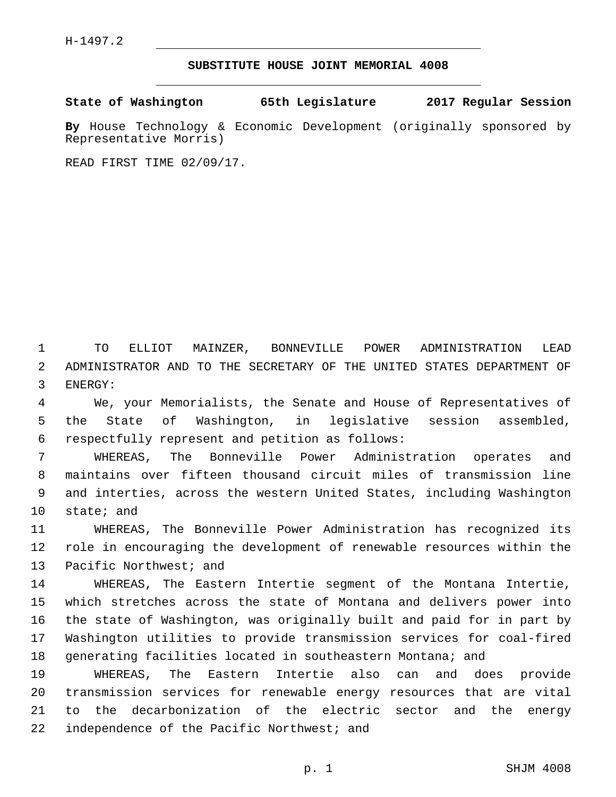## **SUBSTITUTE HOUSE JOINT MEMORIAL 4008**

**State of Washington 65th Legislature 2017 Regular Session**

**By** House Technology & Economic Development (originally sponsored by Representative Morris)

READ FIRST TIME 02/09/17.

1 TO ELLIOT MAINZER, BONNEVILLE POWER ADMINISTRATION LEAD 2 ADMINISTRATOR AND TO THE SECRETARY OF THE UNITED STATES DEPARTMENT OF 3 ENERGY:

4 We, your Memorialists, the Senate and House of Representatives of 5 the State of Washington, in legislative session assembled, respectfully represent and petition as follows:6

 WHEREAS, The Bonneville Power Administration operates and maintains over fifteen thousand circuit miles of transmission line and interties, across the western United States, including Washington 10 state; and

11 WHEREAS, The Bonneville Power Administration has recognized its 12 role in encouraging the development of renewable resources within the 13 Pacific Northwest; and

 WHEREAS, The Eastern Intertie segment of the Montana Intertie, which stretches across the state of Montana and delivers power into the state of Washington, was originally built and paid for in part by Washington utilities to provide transmission services for coal-fired generating facilities located in southeastern Montana; and

 WHEREAS, The Eastern Intertie also can and does provide transmission services for renewable energy resources that are vital to the decarbonization of the electric sector and the energy 22 independence of the Pacific Northwest; and